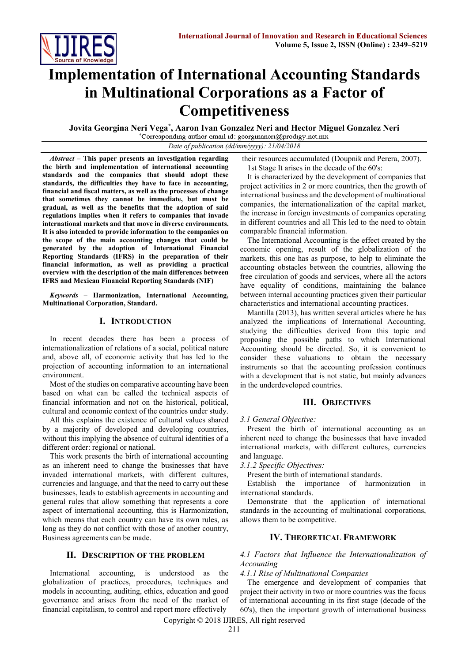

# **Implementation of International Accounting Standards in Multinational Corporations as a Factor of Competitiveness**

**Jovita Georgina Neri Vega\* , Aaron Ivan Gonzalez Neri and Hector Miguel Gonzalez Neri**

*Date of publication (dd/mm/yyyy): 21/04/2018*

*Abstract* **– This paper presents an investigation regarding the birth and implementation of international accounting standards and the companies that should adopt these standards, the difficulties they have to face in accounting, financial and fiscal matters, as well as the processes of change that sometimes they cannot be immediate, but must be gradual, as well as the benefits that the adoption of said regulations implies when it refers to companies that invade international markets and that move in diverse environments. It is also intended to provide information to the companies on the scope of the main accounting changes that could be generated by the adoption of International Financial Reporting Standards (IFRS) in the preparation of their financial information, as well as providing a practical overview with the description of the main differences between IFRS and Mexican Financial Reporting Standards (NIF)**

*Keywords* **– Harmonization, International Accounting, Multinational Corporation, Standard.**

## **I. INTRODUCTION**

In recent decades there has been a process of internationalization of relations of a social, political nature and, above all, of economic activity that has led to the projection of accounting information to an international environment.

Most of the studies on comparative accounting have been based on what can be called the technical aspects of financial information and not on the historical, political, cultural and economic context of the countries under study.

All this explains the existence of cultural values shared by a majority of developed and developing countries, without this implying the absence of cultural identities of a different order: regional or national.

This work presents the birth of international accounting as an inherent need to change the businesses that have invaded international markets, with different cultures, currencies and language, and that the need to carry out these businesses, leads to establish agreements in accounting and general rules that allow something that represents a core aspect of international accounting, this is Harmonization, which means that each country can have its own rules, as long as they do not conflict with those of another country, Business agreements can be made.

#### **II. DESCRIPTION OF THE PROBLEM**

International accounting, is understood as the globalization of practices, procedures, techniques and models in accounting, auditing, ethics, education and good governance and arises from the need of the market of financial capitalism, to control and report more effectively

their resources accumulated (Doupnik and Perera, 2007).

1st Stage It arises in the decade of the 60's:

It is characterized by the development of companies that project activities in 2 or more countries, then the growth of international business and the development of multinational companies, the internationalization of the capital market, the increase in foreign investments of companies operating in different countries and all This led to the need to obtain comparable financial information.

The International Accounting is the effect created by the economic opening, result of the globalization of the markets, this one has as purpose, to help to eliminate the accounting obstacles between the countries, allowing the free circulation of goods and services, where all the actors have equality of conditions, maintaining the balance between internal accounting practices given their particular characteristics and international accounting practices.

Mantilla (2013), has written several articles where he has analyzed the implications of International Accounting, studying the difficulties derived from this topic and proposing the possible paths to which International Accounting should be directed. So, it is convenient to consider these valuations to obtain the necessary instruments so that the accounting profession continues with a development that is not static, but mainly advances in the underdeveloped countries.

## **III. OBJECTIVES**

*3.1 General Objective:*

Present the birth of international accounting as an inherent need to change the businesses that have invaded international markets, with different cultures, currencies and language.

*3.1.2 Specific Objectives:*

Present the birth of international standards.

Establish the importance of harmonization in international standards.

Demonstrate that the application of international standards in the accounting of multinational corporations, allows them to be competitive.

## **IV. THEORETICAL FRAMEWORK**

## *4.1 Factors that Influence the Internationalization of Accounting*

*4.1.1 Rise of Multinational Companies*

The emergence and development of companies that project their activity in two or more countries was the focus of international accounting in its first stage (decade of the 60's), then the important growth of international business

Copyright © 2018 IJIRES, All right reserved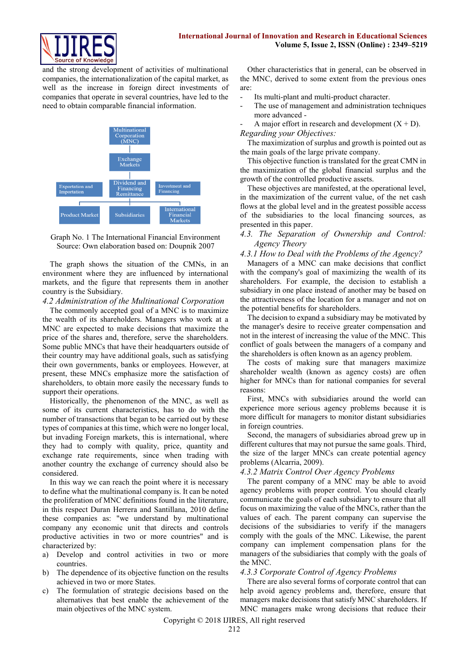

and the strong development of activities of multinational companies, the internationalization of the capital market, as well as the increase in foreign direct investments of companies that operate in several countries, have led to the need to obtain comparable financial information.



Graph No. 1 The International Financial Environment Source: Own elaboration based on: Doupnik 2007

The graph shows the situation of the CMNs, in an environment where they are influenced by international markets, and the figure that represents them in another country is the Subsidiary.

#### *4.2 Administration of the Multinational Corporation*

The commonly accepted goal of a MNC is to maximize the wealth of its shareholders. Managers who work at a MNC are expected to make decisions that maximize the price of the shares and, therefore, serve the shareholders. Some public MNCs that have their headquarters outside of their country may have additional goals, such as satisfying their own governments, banks or employees. However, at present, these MNCs emphasize more the satisfaction of shareholders, to obtain more easily the necessary funds to support their operations.

Historically, the phenomenon of the MNC, as well as some of its current characteristics, has to do with the number of transactions that began to be carried out by these types of companies at this time, which were no longer local, but invading Foreign markets, this is international, where they had to comply with quality, price, quantity and exchange rate requirements, since when trading with another country the exchange of currency should also be considered.

In this way we can reach the point where it is necessary to define what the multinational company is. It can be noted the proliferation of MNC definitions found in the literature, in this respect Duran Herrera and Santillana, 2010 define these companies as: "we understand by multinational company any economic unit that directs and controls productive activities in two or more countries" and is characterized by:

- a) Develop and control activities in two or more countries.
- b) The dependence of its objective function on the results achieved in two or more States.
- c) The formulation of strategic decisions based on the alternatives that best enable the achievement of the main objectives of the MNC system.

Other characteristics that in general, can be observed in the MNC, derived to some extent from the previous ones are:

- Its multi-plant and multi-product character.
- The use of management and administration techniques more advanced -

A major effort in research and development  $(X + D)$ . *Regarding your Objectives:*

The maximization of surplus and growth is pointed out as the main goals of the large private company.

This objective function is translated for the great CMN in the maximization of the global financial surplus and the growth of the controlled productive assets.

These objectives are manifested, at the operational level, in the maximization of the current value, of the net cash flows at the global level and in the greatest possible access of the subsidiaries to the local financing sources, as presented in this paper.

*4.3. The Separation of Ownership and Control: Agency Theory*

#### *4.3.1 How to Deal with the Problems of the Agency?*

Managers of a MNC can make decisions that conflict with the company's goal of maximizing the wealth of its shareholders. For example, the decision to establish a subsidiary in one place instead of another may be based on the attractiveness of the location for a manager and not on the potential benefits for shareholders.

The decision to expand a subsidiary may be motivated by the manager's desire to receive greater compensation and not in the interest of increasing the value of the MNC. This conflict of goals between the managers of a company and the shareholders is often known as an agency problem.

The costs of making sure that managers maximize shareholder wealth (known as agency costs) are often higher for MNCs than for national companies for several reasons:

First, MNCs with subsidiaries around the world can experience more serious agency problems because it is more difficult for managers to monitor distant subsidiaries in foreign countries.

Second, the managers of subsidiaries abroad grew up in different cultures that may not pursue the same goals. Third, the size of the larger MNCs can create potential agency problems (Alcarria, 2009).

#### *4.3.2 Matrix Control Over Agency Problems*

The parent company of a MNC may be able to avoid agency problems with proper control. You should clearly communicate the goals of each subsidiary to ensure that all focus on maximizing the value of the MNCs, rather than the values of each. The parent company can supervise the decisions of the subsidiaries to verify if the managers comply with the goals of the MNC. Likewise, the parent company can implement compensation plans for the managers of the subsidiaries that comply with the goals of the MNC.

#### *4.3.3 Corporate Control of Agency Problems*

There are also several forms of corporate control that can help avoid agency problems and, therefore, ensure that managers make decisions that satisfy MNC shareholders. If MNC managers make wrong decisions that reduce their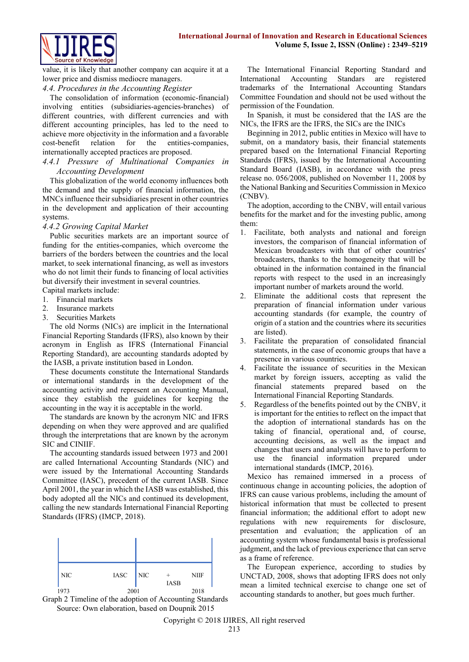

value, it is likely that another company can acquire it at a lower price and dismiss mediocre managers.

## *4.4. Procedures in the Accounting Register*

The consolidation of information (economic-financial) involving entities (subsidiaries-agencies-branches) of different countries, with different currencies and with different accounting principles, has led to the need to achieve more objectivity in the information and a favorable cost-benefit relation for the entities-companies, internationally accepted practices are proposed.

## *4.4.1 Pressure of Multinational Companies in Accounting Development*

This globalization of the world economy influences both the demand and the supply of financial information, the MNCs influence their subsidiaries present in other countries in the development and application of their accounting systems.

## *4.4.2 Growing Capital Market*

Public securities markets are an important source of funding for the entities-companies, which overcome the barriers of the borders between the countries and the local market, to seek international financing, as well as investors who do not limit their funds to financing of local activities but diversify their investment in several countries.

- Capital markets include: 1. Financial markets
- 2. Insurance markets
- 3. Securities Markets

The old Norms (NICs) are implicit in the International Financial Reporting Standards (IFRS), also known by their acronym in English as IFRS (International Financial Reporting Standard), are accounting standards adopted by the IASB, a private institution based in London.

These documents constitute the International Standards or international standards in the development of the accounting activity and represent an Accounting Manual, since they establish the guidelines for keeping the accounting in the way it is acceptable in the world.

The standards are known by the acronym NIC and IFRS depending on when they were approved and are qualified through the interpretations that are known by the acronym SIC and CINIIF.

The accounting standards issued between 1973 and 2001 are called International Accounting Standards (NIC) and were issued by the International Accounting Standards Committee (IASC), precedent of the current IASB. Since April 2001, the year in which the IASB was established, this body adopted all the NICs and continued its development, calling the new standards International Financial Reporting Standards (IFRS) (IMCP, 2018).



Graph 2 Timeline of the adoption of Accounting Standards Source: Own elaboration, based on Doupnik 2015

The International Financial Reporting Standard and International Accounting Standars are registered trademarks of the International Accounting Standars Committee Foundation and should not be used without the permission of the Foundation.

In Spanish, it must be considered that the IAS are the NICs, the IFRS are the IFRS, the SICs are the INICs

Beginning in 2012, public entities in Mexico will have to submit, on a mandatory basis, their financial statements prepared based on the International Financial Reporting Standards (IFRS), issued by the International Accounting Standard Board (IASB), in accordance with the press release no. 056/2008, published on November 11, 2008 by the National Banking and Securities Commission in Mexico (CNBV).

The adoption, according to the CNBV, will entail various benefits for the market and for the investing public, among them:

- 1. Facilitate, both analysts and national and foreign investors, the comparison of financial information of Mexican broadcasters with that of other countries' broadcasters, thanks to the homogeneity that will be obtained in the information contained in the financial reports with respect to the used in an increasingly important number of markets around the world.
- 2. Eliminate the additional costs that represent the preparation of financial information under various accounting standards (for example, the country of origin of a station and the countries where its securities are listed).
- 3. Facilitate the preparation of consolidated financial statements, in the case of economic groups that have a presence in various countries.
- 4. Facilitate the issuance of securities in the Mexican market by foreign issuers, accepting as valid the financial statements prepared based on the International Financial Reporting Standards.
- 5. Regardless of the benefits pointed out by the CNBV, it is important for the entities to reflect on the impact that the adoption of international standards has on the taking of financial, operational and, of course, accounting decisions, as well as the impact and changes that users and analysts will have to perform to use the financial information prepared under international standards (IMCP, 2016).

Mexico has remained immersed in a process of continuous change in accounting policies, the adoption of IFRS can cause various problems, including the amount of historical information that must be collected to present financial information; the additional effort to adopt new regulations with new requirements for disclosure, presentation and evaluation; the application of an accounting system whose fundamental basis is professional judgment, and the lack of previous experience that can serve as a frame of reference.

The European experience, according to studies by UNCTAD, 2008, shows that adopting IFRS does not only mean a limited technical exercise to change one set of accounting standards to another, but goes much further.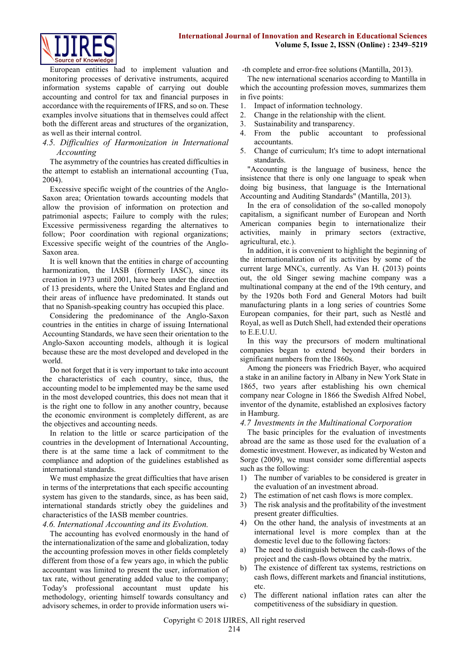

European entities had to implement valuation and monitoring processes of derivative instruments, acquired information systems capable of carrying out double accounting and control for tax and financial purposes in accordance with the requirements of IFRS, and so on. These examples involve situations that in themselves could affect both the different areas and structures of the organization, as well as their internal control.

## *4.5. Difficulties of Harmonization in International Accounting*

The asymmetry of the countries has created difficulties in the attempt to establish an international accounting (Tua, 2004).

Excessive specific weight of the countries of the Anglo-Saxon area; Orientation towards accounting models that allow the provision of information on protection and patrimonial aspects; Failure to comply with the rules; Excessive permissiveness regarding the alternatives to follow; Poor coordination with regional organizations; Excessive specific weight of the countries of the Anglo-Saxon area.

It is well known that the entities in charge of accounting harmonization, the IASB (formerly IASC), since its creation in 1973 until 2001, have been under the direction of 13 presidents, where the United States and England and their areas of influence have predominated. It stands out that no Spanish-speaking country has occupied this place.

Considering the predominance of the Anglo-Saxon countries in the entities in charge of issuing International Accounting Standards, we have seen their orientation to the Anglo-Saxon accounting models, although it is logical because these are the most developed and developed in the world.

Do not forget that it is very important to take into account the characteristics of each country, since, thus, the accounting model to be implemented may be the same used in the most developed countries, this does not mean that it is the right one to follow in any another country, because the economic environment is completely different, as are the objectives and accounting needs.

In relation to the little or scarce participation of the countries in the development of International Accounting, there is at the same time a lack of commitment to the compliance and adoption of the guidelines established as international standards.

We must emphasize the great difficulties that have arisen in terms of the interpretations that each specific accounting system has given to the standards, since, as has been said, international standards strictly obey the guidelines and characteristics of the IASB member countries.

#### *4.6. International Accounting and its Evolution.*

The accounting has evolved enormously in the hand of the internationalization of the same and globalization, today the accounting profession moves in other fields completely different from those of a few years ago, in which the public accountant was limited to present the user, information of tax rate, without generating added value to the company; Today's professional accountant must update his methodology, orienting himself towards consultancy and advisory schemes, in order to provide information users wi-th complete and error-free solutions (Mantilla, 2013).

The new international scenarios according to Mantilla in which the accounting profession moves, summarizes them in five points:

- 1. Impact of information technology.
- 2. Change in the relationship with the client.
- 3. Sustainability and transparency.
- 4. From the public accountant to professional accountants.
- 5. Change of curriculum; It's time to adopt international standards.

"Accounting is the language of business, hence the insistence that there is only one language to speak when doing big business, that language is the International Accounting and Auditing Standards" (Mantilla, 2013).

In the era of consolidation of the so-called monopoly capitalism, a significant number of European and North American companies begin to internationalize their activities, mainly in primary sectors (extractive, agricultural, etc.).

In addition, it is convenient to highlight the beginning of the internationalization of its activities by some of the current large MNCs, currently. As Van H. (2013) points out, the old Singer sewing machine company was a multinational company at the end of the 19th century, and by the 1920s both Ford and General Motors had built manufacturing plants in a long series of countries Some European companies, for their part, such as Nestlé and Royal, as well as Dutch Shell, had extended their operations to E.E.U.U.

In this way the precursors of modern multinational companies began to extend beyond their borders in significant numbers from the 1860s.

Among the pioneers was Friedrich Bayer, who acquired a stake in an aniline factory in Albany in New York State in 1865, two years after establishing his own chemical company near Cologne in 1866 the Swedish Alfred Nobel, inventor of the dynamite, established an explosives factory in Hamburg.

#### *4.7 Investments in the Multinational Corporation*

The basic principles for the evaluation of investments abroad are the same as those used for the evaluation of a domestic investment. However, as indicated by Weston and Sorge (2009), we must consider some differential aspects such as the following:

- 1) The number of variables to be considered is greater in the evaluation of an investment abroad.
- 2) The estimation of net cash flows is more complex.
- 3) The risk analysis and the profitability of the investment present greater difficulties.
- 4) On the other hand, the analysis of investments at an international level is more complex than at the domestic level due to the following factors:
- a) The need to distinguish between the cash-flows of the project and the cash-flows obtained by the matrix.
- b) The existence of different tax systems, restrictions on cash flows, different markets and financial institutions, etc.
- c) The different national inflation rates can alter the competitiveness of the subsidiary in question.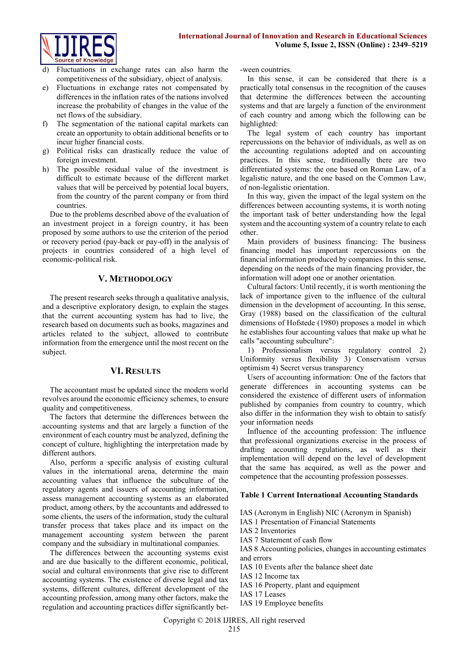

- Fluctuations in exchange rates can also harm the competitiveness of the subsidiary, object of analysis.
- e) Fluctuations in exchange rates not compensated by differences in the inflation rates of the nations involved increase the probability of changes in the value of the net flows of the subsidiary.
- f) The segmentation of the national capital markets can create an opportunity to obtain additional benefits or to incur higher financial costs.
- g) Political risks can drastically reduce the value of foreign investment.
- h) The possible residual value of the investment is difficult to estimate because of the different market values that will be perceived by potential local buyers, from the country of the parent company or from third countries.

Due to the problems described above of the evaluation of an investment project in a foreign country, it has been proposed by some authors to use the criterion of the period or recovery period (pay-back or pay-off) in the analysis of projects in countries considered of a high level of economic-political risk.

## **V. METHODOLOGY**

The present research seeks through a qualitative analysis, and a descriptive exploratory design, to explain the stages that the current accounting system has had to live, the research based on documents such as books, magazines and articles related to the subject, allowed to contribute information from the emergence until the most recent on the subject.

#### **VI. RESULTS**

The accountant must be updated since the modern world revolves around the economic efficiency schemes, to ensure quality and competitiveness.

The factors that determine the differences between the accounting systems and that are largely a function of the environment of each country must be analyzed, defining the concept of culture, highlighting the interpretation made by different authors.

Also, perform a specific analysis of existing cultural values in the international arena, determine the main accounting values that influence the subculture of the regulatory agents and issuers of accounting information, assess management accounting systems as an elaborated product, among others, by the accountants and addressed to some clients, the users of the information, study the cultural transfer process that takes place and its impact on the management accounting system between the parent company and the subsidiary in multinational companies.

The differences between the accounting systems exist and are due basically to the different economic, political, social and cultural environments that give rise to different accounting systems. The existence of diverse legal and tax systems, different cultures, different development of the accounting profession, among many other factors, make the regulation and accounting practices differ significantly bet-ween countries.

In this sense, it can be considered that there is a practically total consensus in the recognition of the causes that determine the differences between the accounting systems and that are largely a function of the environment of each country and among which the following can be highlighted:

The legal system of each country has important repercussions on the behavior of individuals, as well as on the accounting regulations adopted and on accounting practices. In this sense, traditionally there are two differentiated systems: the one based on Roman Law, of a legalistic nature, and the one based on the Common Law, of non-legalistic orientation.

In this way, given the impact of the legal system on the differences between accounting systems, it is worth noting the important task of better understanding how the legal system and the accounting system of a country relate to each other.

Main providers of business financing: The business financing model has important repercussions on the financial information produced by companies. In this sense, depending on the needs of the main financing provider, the information will adopt one or another orientation.

Cultural factors: Until recently, it is worth mentioning the lack of importance given to the influence of the cultural dimension in the development of accounting. In this sense, Gray (1988) based on the classification of the cultural dimensions of Hofstede (1980) proposes a model in which he establishes four accounting values that make up what he calls "accounting subculture":

1) Professionalism versus regulatory control 2) Uniformity versus flexibility 3) Conservatism versus optimism 4) Secret versus transparency

Users of accounting information: One of the factors that generate differences in accounting systems can be considered the existence of different users of information published by companies from country to country, which also differ in the information they wish to obtain to satisfy your information needs

Influence of the accounting profession: The influence that professional organizations exercise in the process of drafting accounting regulations, as well as their implementation will depend on the level of development that the same has acquired, as well as the power and competence that the accounting profession possesses.

## **Table 1 Current International Accounting Standards**

IAS (Acronym in English) NIC (Acronym in Spanish)

- IAS 1 Presentation of Financial Statements
- IAS 2 Inventories
- IAS 7 Statement of cash flow

IAS 8 Accounting policies, changes in accounting estimates and errors

IAS 10 Events after the balance sheet date

IAS 12 Income tax

- IAS 16 Property, plant and equipment
- IAS 17 Leases
- IAS 19 Employee benefits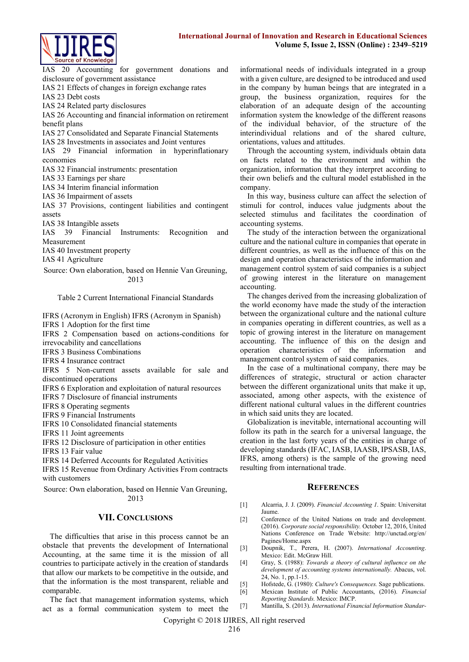

IAS 20 Accounting for government donations and disclosure of government assistance IAS 21 Effects of changes in foreign exchange rates IAS 23 Debt costs IAS 24 Related party disclosures

IAS 26 Accounting and financial information on retirement benefit plans

IAS 27 Consolidated and Separate Financial Statements

IAS 28 Investments in associates and Joint ventures

IAS 29 Financial information in hyperinflationary economies

IAS 32 Financial instruments: presentation

IAS 33 Earnings per share

IAS 34 Interim financial information

IAS 36 Impairment of assets

IAS 37 Provisions, contingent liabilities and contingent assets

IAS 38 Intangible assets

IAS 39 Financial Instruments: Recognition and Measurement

IAS 40 Investment property

IAS 41 Agriculture

Source: Own elaboration, based on Hennie Van Greuning, 2013

Table 2 Current International Financial Standards

IFRS (Acronym in English) IFRS (Acronym in Spanish) IFRS 1 Adoption for the first time

IFRS 2 Compensation based on actions-conditions for irrevocability and cancellations

IFRS 3 Business Combinations

IFRS 4 Insurance contract

IFRS 5 Non-current assets available for sale and discontinued operations

IFRS 6 Exploration and exploitation of natural resources

IFRS 7 Disclosure of financial instruments

IFRS 8 Operating segments

IFRS 9 Financial Instruments

IFRS 10 Consolidated financial statements

IFRS 11 Joint agreements

IFRS 12 Disclosure of participation in other entities

IFRS 13 Fair value

IFRS 14 Deferred Accounts for Regulated Activities

IFRS 15 Revenue from Ordinary Activities From contracts with customers

Source: Own elaboration, based on Hennie Van Greuning, 2013

#### **VII. CONCLUSIONS**

The difficulties that arise in this process cannot be an obstacle that prevents the development of International Accounting, at the same time it is the mission of all countries to participate actively in the creation of standards that allow our markets to be competitive in the outside, and that the information is the most transparent, reliable and comparable.

The fact that management information systems, which act as a formal communication system to meet the informational needs of individuals integrated in a group with a given culture, are designed to be introduced and used in the company by human beings that are integrated in a group, the business organization, requires for the elaboration of an adequate design of the accounting information system the knowledge of the different reasons of the individual behavior, of the structure of the interindividual relations and of the shared culture, orientations, values and attitudes.

Through the accounting system, individuals obtain data on facts related to the environment and within the organization, information that they interpret according to their own beliefs and the cultural model established in the company.

In this way, business culture can affect the selection of stimuli for control, induces value judgments about the selected stimulus and facilitates the coordination of accounting systems.

The study of the interaction between the organizational culture and the national culture in companies that operate in different countries, as well as the influence of this on the design and operation characteristics of the information and management control system of said companies is a subject of growing interest in the literature on management accounting.

The changes derived from the increasing globalization of the world economy have made the study of the interaction between the organizational culture and the national culture in companies operating in different countries, as well as a topic of growing interest in the literature on management accounting. The influence of this on the design and operation characteristics of the information and management control system of said companies.

In the case of a multinational company, there may be differences of strategic, structural or action character between the different organizational units that make it up, associated, among other aspects, with the existence of different national cultural values in the different countries in which said units they are located.

Globalization is inevitable, international accounting will follow its path in the search for a universal language, the creation in the last forty years of the entities in charge of developing standards (IFAC, IASB, IAASB, IPSASB, IAS, IFRS, among others) is the sample of the growing need resulting from international trade.

#### **REFERENCES**

- [1] Alcarria, J. J. (2009). *Financial Accounting 1*. Spain: Universitat Jaume.
- [2] Conference of the United Nations on trade and development. (2016). *Corporate social responsibility.* October 12, 2016, United Nations Conference on Trade Website: http://unctad.org/en/ Pagines/Home.aspx
- [3] Doupnik, T., Perera, H. (2007). *International Accounting*. Mexico: Edit. McGraw Hill.
- [4] Gray, S. (1988): *Towards a theory of cultural influence on the development of accounting systems internationally.* Abacus, vol. 24, No. 1, pp.1-15.
- [5] Hofstede, G. (1980): *Culture's Consequences.* Sage publications.
- [6] Mexican Institute of Public Accountants, (2016). *Financial Reporting Standards.* Mexico: IMCP.
- [7] Mantilla, S. (2013). *International Financial Information Standar-*